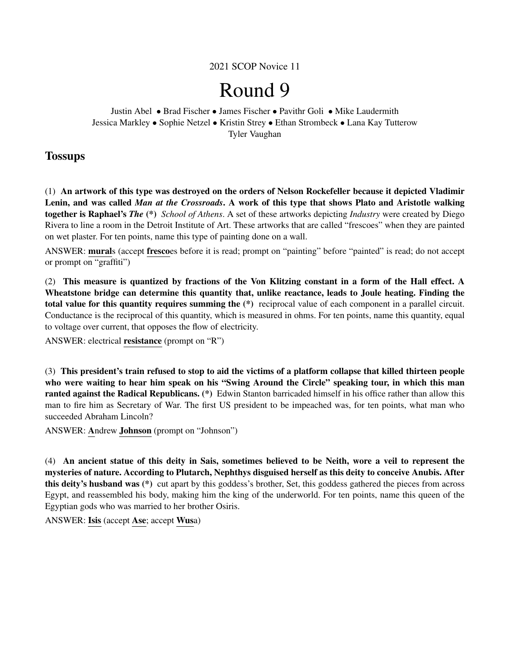2021 SCOP Novice 11

# Round 9

Justin Abel • Brad Fischer • James Fischer • Pavithr Goli • Mike Laudermith Jessica Markley • Sophie Netzel • Kristin Strey • Ethan Strombeck • Lana Kay Tutterow Tyler Vaughan

## **Tossups**

(1) An artwork of this type was destroyed on the orders of Nelson Rockefeller because it depicted Vladimir Lenin, and was called *Man at the Crossroads*. A work of this type that shows Plato and Aristotle walking together is Raphael's *The* (\*) *School of Athens*. A set of these artworks depicting *Industry* were created by Diego Rivera to line a room in the Detroit Institute of Art. These artworks that are called "frescoes" when they are painted on wet plaster. For ten points, name this type of painting done on a wall.

ANSWER: murals (accept frescoes before it is read; prompt on "painting" before "painted" is read; do not accept or prompt on "graffiti")

(2) This measure is quantized by fractions of the Von Klitzing constant in a form of the Hall effect. A Wheatstone bridge can determine this quantity that, unlike reactance, leads to Joule heating. Finding the total value for this quantity requires summing the (\*) reciprocal value of each component in a parallel circuit. Conductance is the reciprocal of this quantity, which is measured in ohms. For ten points, name this quantity, equal to voltage over current, that opposes the flow of electricity.

ANSWER: electrical resistance (prompt on "R")

(3) This president's train refused to stop to aid the victims of a platform collapse that killed thirteen people who were waiting to hear him speak on his "Swing Around the Circle" speaking tour, in which this man ranted against the Radical Republicans. (\*) Edwin Stanton barricaded himself in his office rather than allow this man to fire him as Secretary of War. The first US president to be impeached was, for ten points, what man who succeeded Abraham Lincoln?

ANSWER: Andrew Johnson (prompt on "Johnson")

(4) An ancient statue of this deity in Sais, sometimes believed to be Neith, wore a veil to represent the mysteries of nature. According to Plutarch, Nephthys disguised herself as this deity to conceive Anubis. After this deity's husband was (\*) cut apart by this goddess's brother, Set, this goddess gathered the pieces from across Egypt, and reassembled his body, making him the king of the underworld. For ten points, name this queen of the Egyptian gods who was married to her brother Osiris.

ANSWER: Isis (accept Ase; accept Wusa)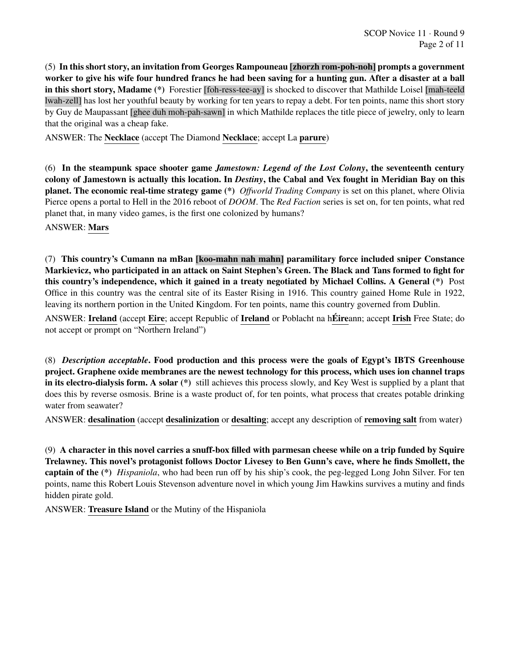(5) In this short story, an invitation from Georges Rampouneau [zhorzh rom-poh-noh] prompts a government worker to give his wife four hundred francs he had been saving for a hunting gun. After a disaster at a ball in this short story, Madame (\*) Forestier [foh-ress-tee-ay] is shocked to discover that Mathilde Loisel [mah-teeld lwah-zell] has lost her youthful beauty by working for ten years to repay a debt. For ten points, name this short story by Guy de Maupassant [ghee duh moh-pah-sawn] in which Mathilde replaces the title piece of jewelry, only to learn that the original was a cheap fake.

ANSWER: The Necklace (accept The Diamond Necklace; accept La parure)

(6) In the steampunk space shooter game *Jamestown: Legend of the Lost Colony*, the seventeenth century colony of Jamestown is actually this location. In *Destiny*, the Cabal and Vex fought in Meridian Bay on this planet. The economic real-time strategy game (\*) *Offworld Trading Company* is set on this planet, where Olivia Pierce opens a portal to Hell in the 2016 reboot of *DOOM*. The *Red Faction* series is set on, for ten points, what red planet that, in many video games, is the first one colonized by humans?

ANSWER: Mars

(7) This country's Cumann na mBan [koo-mahn nah mahn] paramilitary force included sniper Constance Markievicz, who participated in an attack on Saint Stephen's Green. The Black and Tans formed to fight for this country's independence, which it gained in a treaty negotiated by Michael Collins. A General (\*) Post Office in this country was the central site of its Easter Rising in 1916. This country gained Home Rule in 1922, leaving its northern portion in the United Kingdom. For ten points, name this country governed from Dublin.

ANSWER: Ireland (accept Eire; accept Republic of Ireland or Poblacht na hÉireann; accept Irish Free State; do not accept or prompt on "Northern Ireland")

(8) *Description acceptable*. Food production and this process were the goals of Egypt's IBTS Greenhouse project. Graphene oxide membranes are the newest technology for this process, which uses ion channel traps in its electro-dialysis form. A solar (\*) still achieves this process slowly, and Key West is supplied by a plant that does this by reverse osmosis. Brine is a waste product of, for ten points, what process that creates potable drinking water from seawater?

ANSWER: desalination (accept desalinization or desalting; accept any description of removing salt from water)

(9) A character in this novel carries a snuff-box filled with parmesan cheese while on a trip funded by Squire Trelawney. This novel's protagonist follows Doctor Livesey to Ben Gunn's cave, where he finds Smollett, the captain of the (\*) *Hispaniola*, who had been run off by his ship's cook, the peg-legged Long John Silver. For ten points, name this Robert Louis Stevenson adventure novel in which young Jim Hawkins survives a mutiny and finds hidden pirate gold.

ANSWER: Treasure Island or the Mutiny of the Hispaniola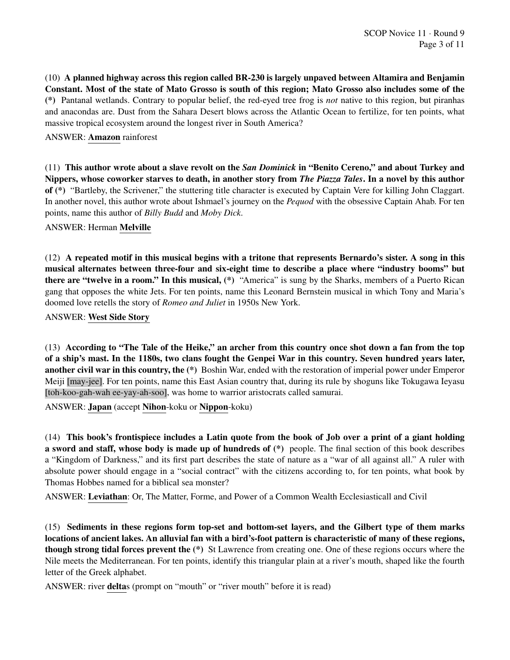(10) A planned highway across this region called BR-230 is largely unpaved between Altamira and Benjamin Constant. Most of the state of Mato Grosso is south of this region; Mato Grosso also includes some of the (\*) Pantanal wetlands. Contrary to popular belief, the red-eyed tree frog is *not* native to this region, but piranhas and anacondas are. Dust from the Sahara Desert blows across the Atlantic Ocean to fertilize, for ten points, what massive tropical ecosystem around the longest river in South America?

#### ANSWER: Amazon rainforest

(11) This author wrote about a slave revolt on the *San Dominick* in "Benito Cereno," and about Turkey and Nippers, whose coworker starves to death, in another story from *The Piazza Tales*. In a novel by this author of (\*) "Bartleby, the Scrivener," the stuttering title character is executed by Captain Vere for killing John Claggart. In another novel, this author wrote about Ishmael's journey on the *Pequod* with the obsessive Captain Ahab. For ten points, name this author of *Billy Budd* and *Moby Dick*.

#### ANSWER: Herman Melville

(12) A repeated motif in this musical begins with a tritone that represents Bernardo's sister. A song in this musical alternates between three-four and six-eight time to describe a place where "industry booms" but there are "twelve in a room." In this musical, (\*) "America" is sung by the Sharks, members of a Puerto Rican gang that opposes the white Jets. For ten points, name this Leonard Bernstein musical in which Tony and Maria's doomed love retells the story of *Romeo and Juliet* in 1950s New York.

#### ANSWER: West Side Story

(13) According to "The Tale of the Heike," an archer from this country once shot down a fan from the top of a ship's mast. In the 1180s, two clans fought the Genpei War in this country. Seven hundred years later, another civil war in this country, the (\*) Boshin War, ended with the restoration of imperial power under Emperor Meiji [may-jee]. For ten points, name this East Asian country that, during its rule by shoguns like Tokugawa Ieyasu [toh-koo-gah-wah ee-yay-ah-soo], was home to warrior aristocrats called samurai.

ANSWER: Japan (accept Nihon-koku or Nippon-koku)

(14) This book's frontispiece includes a Latin quote from the book of Job over a print of a giant holding a sword and staff, whose body is made up of hundreds of (\*) people. The final section of this book describes a "Kingdom of Darkness," and its first part describes the state of nature as a "war of all against all." A ruler with absolute power should engage in a "social contract" with the citizens according to, for ten points, what book by Thomas Hobbes named for a biblical sea monster?

ANSWER: Leviathan: Or, The Matter, Forme, and Power of a Common Wealth Ecclesiasticall and Civil

(15) Sediments in these regions form top-set and bottom-set layers, and the Gilbert type of them marks locations of ancient lakes. An alluvial fan with a bird's-foot pattern is characteristic of many of these regions, though strong tidal forces prevent the (\*) St Lawrence from creating one. One of these regions occurs where the Nile meets the Mediterranean. For ten points, identify this triangular plain at a river's mouth, shaped like the fourth letter of the Greek alphabet.

ANSWER: river **delta**s (prompt on "mouth" or "river mouth" before it is read)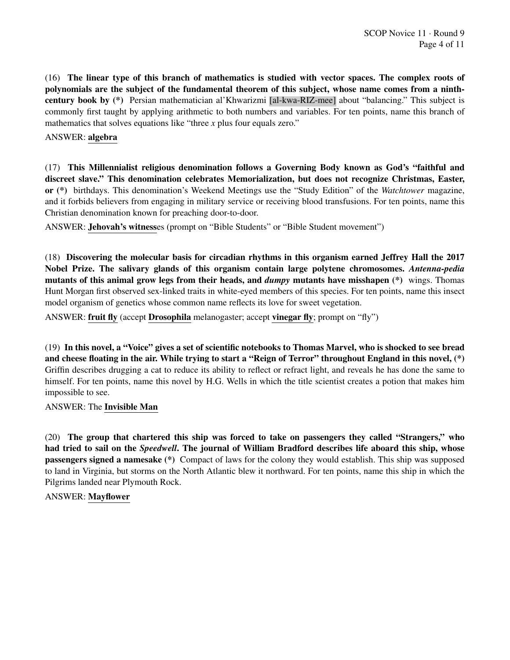(16) The linear type of this branch of mathematics is studied with vector spaces. The complex roots of polynomials are the subject of the fundamental theorem of this subject, whose name comes from a ninthcentury book by (\*) Persian mathematician al'Khwarizmi [al-kwa-RIZ-mee] about "balancing." This subject is commonly first taught by applying arithmetic to both numbers and variables. For ten points, name this branch of mathematics that solves equations like "three *x* plus four equals zero."

#### ANSWER: algebra

(17) This Millennialist religious denomination follows a Governing Body known as God's "faithful and discreet slave." This denomination celebrates Memorialization, but does not recognize Christmas, Easter, or (\*) birthdays. This denomination's Weekend Meetings use the "Study Edition" of the *Watchtower* magazine, and it forbids believers from engaging in military service or receiving blood transfusions. For ten points, name this Christian denomination known for preaching door-to-door.

ANSWER: Jehovah's witnesses (prompt on "Bible Students" or "Bible Student movement")

(18) Discovering the molecular basis for circadian rhythms in this organism earned Jeffrey Hall the 2017 Nobel Prize. The salivary glands of this organism contain large polytene chromosomes. *Antenna-pedia* mutants of this animal grow legs from their heads, and *dumpy* mutants have misshapen (\*) wings. Thomas Hunt Morgan first observed sex-linked traits in white-eyed members of this species. For ten points, name this insect model organism of genetics whose common name reflects its love for sweet vegetation.

ANSWER: fruit fly (accept Drosophila melanogaster; accept vinegar fly; prompt on "fly")

(19) In this novel, a "Voice" gives a set of scientific notebooks to Thomas Marvel, who is shocked to see bread and cheese floating in the air. While trying to start a "Reign of Terror" throughout England in this novel, (\*) Griffin describes drugging a cat to reduce its ability to reflect or refract light, and reveals he has done the same to himself. For ten points, name this novel by H.G. Wells in which the title scientist creates a potion that makes him impossible to see.

ANSWER: The Invisible Man

(20) The group that chartered this ship was forced to take on passengers they called "Strangers," who had tried to sail on the *Speedwell*. The journal of William Bradford describes life aboard this ship, whose passengers signed a namesake (\*) Compact of laws for the colony they would establish. This ship was supposed to land in Virginia, but storms on the North Atlantic blew it northward. For ten points, name this ship in which the Pilgrims landed near Plymouth Rock.

#### ANSWER: Mayflower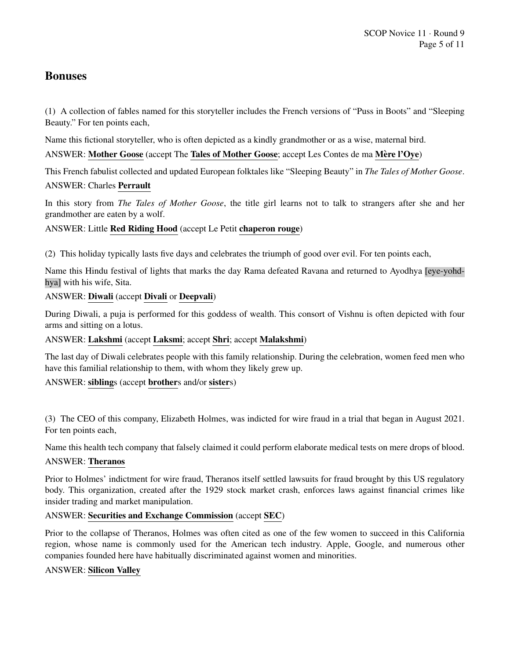## Bonuses

(1) A collection of fables named for this storyteller includes the French versions of "Puss in Boots" and "Sleeping Beauty." For ten points each,

Name this fictional storyteller, who is often depicted as a kindly grandmother or as a wise, maternal bird.

## ANSWER: Mother Goose (accept The Tales of Mother Goose; accept Les Contes de ma Mère l'Oye)

This French fabulist collected and updated European folktales like "Sleeping Beauty" in *The Tales of Mother Goose*.

## ANSWER: Charles Perrault

In this story from *The Tales of Mother Goose*, the title girl learns not to talk to strangers after she and her grandmother are eaten by a wolf.

## ANSWER: Little Red Riding Hood (accept Le Petit chaperon rouge)

(2) This holiday typically lasts five days and celebrates the triumph of good over evil. For ten points each,

Name this Hindu festival of lights that marks the day Rama defeated Ravana and returned to Ayodhya [eye-yohdhya] with his wife, Sita.

## ANSWER: Diwali (accept Divali or Deepvali)

During Diwali, a puja is performed for this goddess of wealth. This consort of Vishnu is often depicted with four arms and sitting on a lotus.

## ANSWER: Lakshmi (accept Laksmi; accept Shri; accept Malakshmi)

The last day of Diwali celebrates people with this family relationship. During the celebration, women feed men who have this familial relationship to them, with whom they likely grew up.

## ANSWER: siblings (accept brothers and/or sisters)

(3) The CEO of this company, Elizabeth Holmes, was indicted for wire fraud in a trial that began in August 2021. For ten points each,

Name this health tech company that falsely claimed it could perform elaborate medical tests on mere drops of blood.

#### ANSWER: Theranos

Prior to Holmes' indictment for wire fraud, Theranos itself settled lawsuits for fraud brought by this US regulatory body. This organization, created after the 1929 stock market crash, enforces laws against financial crimes like insider trading and market manipulation.

## ANSWER: Securities and Exchange Commission (accept SEC)

Prior to the collapse of Theranos, Holmes was often cited as one of the few women to succeed in this California region, whose name is commonly used for the American tech industry. Apple, Google, and numerous other companies founded here have habitually discriminated against women and minorities.

## ANSWER: Silicon Valley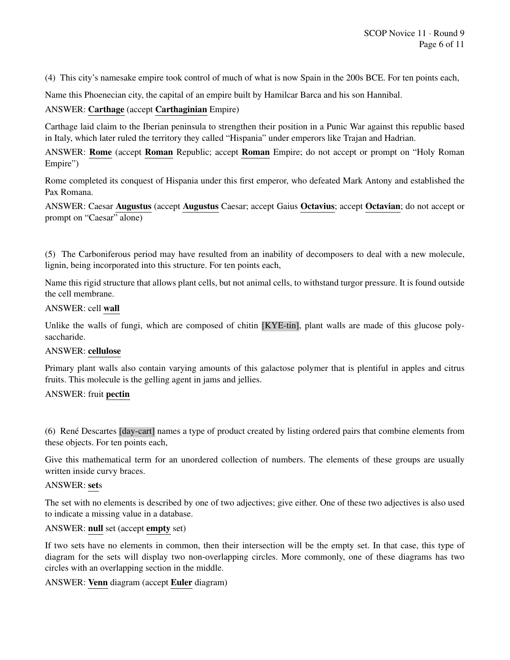(4) This city's namesake empire took control of much of what is now Spain in the 200s BCE. For ten points each,

Name this Phoenecian city, the capital of an empire built by Hamilcar Barca and his son Hannibal.

#### ANSWER: Carthage (accept Carthaginian Empire)

Carthage laid claim to the Iberian peninsula to strengthen their position in a Punic War against this republic based in Italy, which later ruled the territory they called "Hispania" under emperors like Trajan and Hadrian.

ANSWER: Rome (accept Roman Republic; accept Roman Empire; do not accept or prompt on "Holy Roman Empire")

Rome completed its conquest of Hispania under this first emperor, who defeated Mark Antony and established the Pax Romana.

ANSWER: Caesar Augustus (accept Augustus Caesar; accept Gaius Octavius; accept Octavian; do not accept or prompt on "Caesar" alone)

(5) The Carboniferous period may have resulted from an inability of decomposers to deal with a new molecule, lignin, being incorporated into this structure. For ten points each,

Name this rigid structure that allows plant cells, but not animal cells, to withstand turgor pressure. It is found outside the cell membrane.

#### ANSWER: cell wall

Unlike the walls of fungi, which are composed of chitin [KYE-tin], plant walls are made of this glucose polysaccharide.

#### ANSWER: cellulose

Primary plant walls also contain varying amounts of this galactose polymer that is plentiful in apples and citrus fruits. This molecule is the gelling agent in jams and jellies.

#### ANSWER: fruit pectin

(6) René Descartes [day-cart] names a type of product created by listing ordered pairs that combine elements from these objects. For ten points each,

Give this mathematical term for an unordered collection of numbers. The elements of these groups are usually written inside curvy braces.

#### ANSWER: sets

The set with no elements is described by one of two adjectives; give either. One of these two adjectives is also used to indicate a missing value in a database.

#### ANSWER: null set (accept empty set)

If two sets have no elements in common, then their intersection will be the empty set. In that case, this type of diagram for the sets will display two non-overlapping circles. More commonly, one of these diagrams has two circles with an overlapping section in the middle.

#### ANSWER: Venn diagram (accept Euler diagram)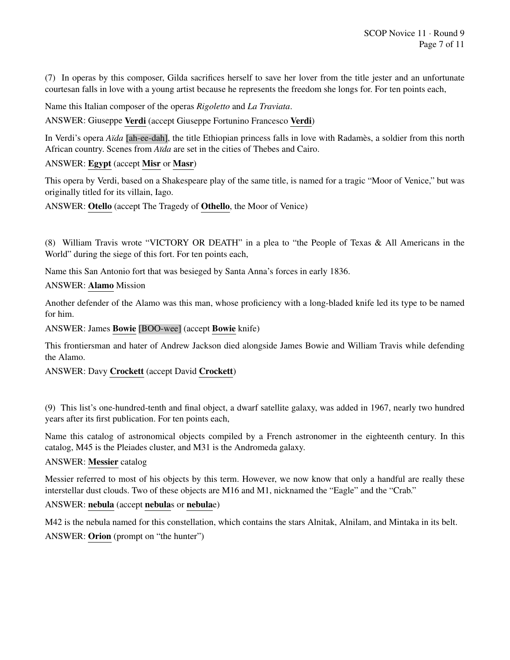(7) In operas by this composer, Gilda sacrifices herself to save her lover from the title jester and an unfortunate courtesan falls in love with a young artist because he represents the freedom she longs for. For ten points each,

Name this Italian composer of the operas *Rigoletto* and *La Traviata*.

ANSWER: Giuseppe Verdi (accept Giuseppe Fortunino Francesco Verdi)

In Verdi's opera *Aïda* [ah-ee-dah], the title Ethiopian princess falls in love with Radames, a soldier from this north African country. Scenes from *Aïda* are set in the cities of Thebes and Cairo.

## ANSWER: Egypt (accept Misr or Masr)

This opera by Verdi, based on a Shakespeare play of the same title, is named for a tragic "Moor of Venice," but was originally titled for its villain, Iago.

ANSWER: Otello (accept The Tragedy of Othello, the Moor of Venice)

(8) William Travis wrote "VICTORY OR DEATH" in a plea to "the People of Texas & All Americans in the World" during the siege of this fort. For ten points each,

Name this San Antonio fort that was besieged by Santa Anna's forces in early 1836.

#### ANSWER: Alamo Mission

Another defender of the Alamo was this man, whose proficiency with a long-bladed knife led its type to be named for him.

ANSWER: James Bowie [BOO-wee] (accept Bowie knife)

This frontiersman and hater of Andrew Jackson died alongside James Bowie and William Travis while defending the Alamo.

ANSWER: Davy Crockett (accept David Crockett)

(9) This list's one-hundred-tenth and final object, a dwarf satellite galaxy, was added in 1967, nearly two hundred years after its first publication. For ten points each,

Name this catalog of astronomical objects compiled by a French astronomer in the eighteenth century. In this catalog, M45 is the Pleiades cluster, and M31 is the Andromeda galaxy.

#### ANSWER: Messier catalog

Messier referred to most of his objects by this term. However, we now know that only a handful are really these interstellar dust clouds. Two of these objects are M16 and M1, nicknamed the "Eagle" and the "Crab."

## ANSWER: nebula (accept nebulas or nebulae)

M42 is the nebula named for this constellation, which contains the stars Alnitak, Alnilam, and Mintaka in its belt. ANSWER: Orion (prompt on "the hunter")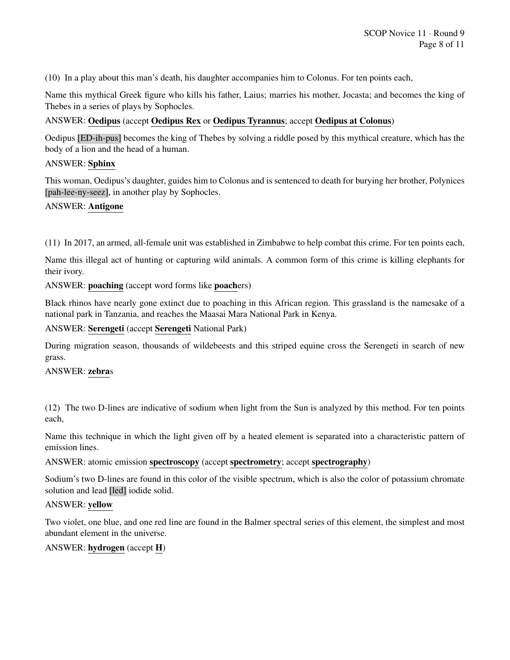(10) In a play about this man's death, his daughter accompanies him to Colonus. For ten points each,

Name this mythical Greek figure who kills his father, Laius; marries his mother, Jocasta; and becomes the king of Thebes in a series of plays by Sophocles.

#### ANSWER: Oedipus (accept Oedipus Rex or Oedipus Tyrannus; accept Oedipus at Colonus)

Oedipus [ED-ih-pus] becomes the king of Thebes by solving a riddle posed by this mythical creature, which has the body of a lion and the head of a human.

#### ANSWER: Sphinx

This woman, Oedipus's daughter, guides him to Colonus and is sentenced to death for burying her brother, Polynices [pah-lee-ny-seez], in another play by Sophocles.

## ANSWER: Antigone

(11) In 2017, an armed, all-female unit was established in Zimbabwe to help combat this crime. For ten points each,

Name this illegal act of hunting or capturing wild animals. A common form of this crime is killing elephants for their ivory.

ANSWER: poaching (accept word forms like poachers)

Black rhinos have nearly gone extinct due to poaching in this African region. This grassland is the namesake of a national park in Tanzania, and reaches the Maasai Mara National Park in Kenya.

#### ANSWER: Serengeti (accept Serengeti National Park)

During migration season, thousands of wildebeests and this striped equine cross the Serengeti in search of new grass.

#### ANSWER: zebras

(12) The two D-lines are indicative of sodium when light from the Sun is analyzed by this method. For ten points each,

Name this technique in which the light given off by a heated element is separated into a characteristic pattern of emission lines.

ANSWER: atomic emission spectroscopy (accept spectrometry; accept spectrography)

Sodium's two D-lines are found in this color of the visible spectrum, which is also the color of potassium chromate solution and lead [led] iodide solid.

#### ANSWER: yellow

Two violet, one blue, and one red line are found in the Balmer spectral series of this element, the simplest and most abundant element in the universe.

#### ANSWER: hydrogen (accept H)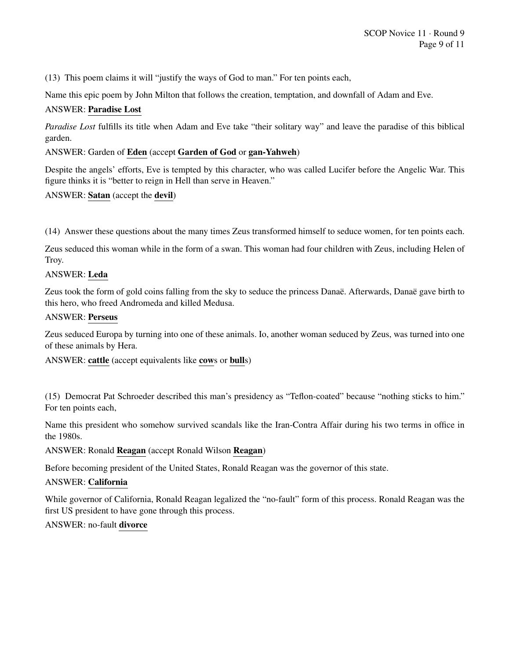(13) This poem claims it will "justify the ways of God to man." For ten points each,

Name this epic poem by John Milton that follows the creation, temptation, and downfall of Adam and Eve.

#### ANSWER: Paradise Lost

*Paradise Lost* fulfills its title when Adam and Eve take "their solitary way" and leave the paradise of this biblical garden.

#### ANSWER: Garden of Eden (accept Garden of God or gan-Yahweh)

Despite the angels' efforts, Eve is tempted by this character, who was called Lucifer before the Angelic War. This figure thinks it is "better to reign in Hell than serve in Heaven."

#### ANSWER: Satan (accept the devil)

(14) Answer these questions about the many times Zeus transformed himself to seduce women, for ten points each.

Zeus seduced this woman while in the form of a swan. This woman had four children with Zeus, including Helen of Troy.

#### ANSWER: Leda

Zeus took the form of gold coins falling from the sky to seduce the princess Danaë. Afterwards, Danaë gave birth to this hero, who freed Andromeda and killed Medusa.

#### ANSWER: Perseus

Zeus seduced Europa by turning into one of these animals. Io, another woman seduced by Zeus, was turned into one of these animals by Hera.

ANSWER: cattle (accept equivalents like cows or bulls)

(15) Democrat Pat Schroeder described this man's presidency as "Teflon-coated" because "nothing sticks to him." For ten points each,

Name this president who somehow survived scandals like the Iran-Contra Affair during his two terms in office in the 1980s.

#### ANSWER: Ronald Reagan (accept Ronald Wilson Reagan)

Before becoming president of the United States, Ronald Reagan was the governor of this state.

#### ANSWER: California

While governor of California, Ronald Reagan legalized the "no-fault" form of this process. Ronald Reagan was the first US president to have gone through this process.

## ANSWER: no-fault divorce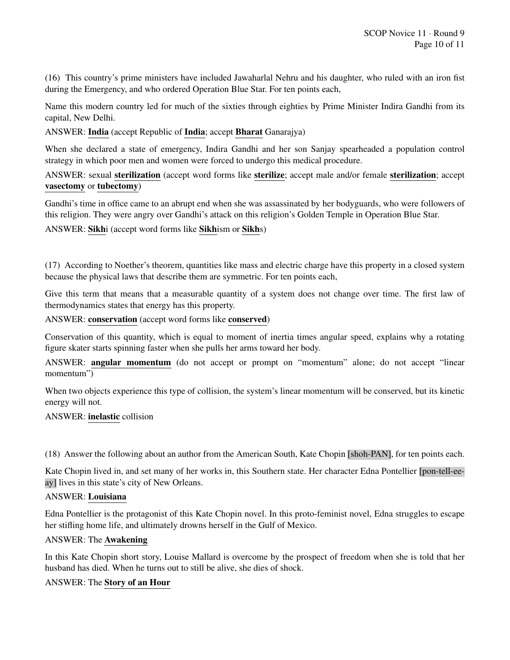(16) This country's prime ministers have included Jawaharlal Nehru and his daughter, who ruled with an iron fist during the Emergency, and who ordered Operation Blue Star. For ten points each,

Name this modern country led for much of the sixties through eighties by Prime Minister Indira Gandhi from its capital, New Delhi.

ANSWER: India (accept Republic of India; accept Bharat Ganarajya)

When she declared a state of emergency, Indira Gandhi and her son Sanjay spearheaded a population control strategy in which poor men and women were forced to undergo this medical procedure.

ANSWER: sexual sterilization (accept word forms like sterilize; accept male and/or female sterilization; accept vasectomy or tubectomy)

Gandhi's time in office came to an abrupt end when she was assassinated by her bodyguards, who were followers of this religion. They were angry over Gandhi's attack on this religion's Golden Temple in Operation Blue Star.

ANSWER: Sikhi (accept word forms like Sikhism or Sikhs)

(17) According to Noether's theorem, quantities like mass and electric charge have this property in a closed system because the physical laws that describe them are symmetric. For ten points each,

Give this term that means that a measurable quantity of a system does not change over time. The first law of thermodynamics states that energy has this property.

ANSWER: conservation (accept word forms like conserved)

Conservation of this quantity, which is equal to moment of inertia times angular speed, explains why a rotating figure skater starts spinning faster when she pulls her arms toward her body.

ANSWER: angular momentum (do not accept or prompt on "momentum" alone; do not accept "linear momentum")

When two objects experience this type of collision, the system's linear momentum will be conserved, but its kinetic energy will not.

ANSWER: inelastic collision

(18) Answer the following about an author from the American South, Kate Chopin [shoh-PAN], for ten points each.

Kate Chopin lived in, and set many of her works in, this Southern state. Her character Edna Pontellier [pon-tell-eeay] lives in this state's city of New Orleans.

## ANSWER: Louisiana

Edna Pontellier is the protagonist of this Kate Chopin novel. In this proto-feminist novel, Edna struggles to escape her stifling home life, and ultimately drowns herself in the Gulf of Mexico.

#### ANSWER: The Awakening

In this Kate Chopin short story, Louise Mallard is overcome by the prospect of freedom when she is told that her husband has died. When he turns out to still be alive, she dies of shock.

#### ANSWER: The Story of an Hour